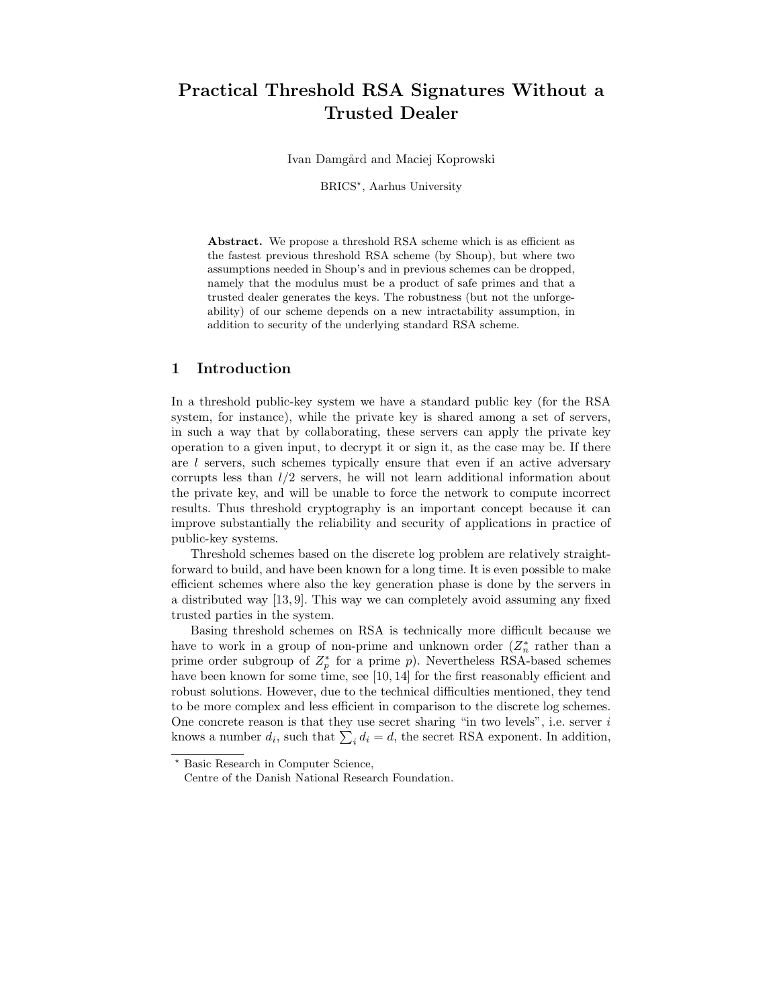# Practical Threshold RSA Signatures Without a Trusted Dealer

Ivan Damgård and Maciej Koprowski

BRICS? , Aarhus University

Abstract. We propose a threshold RSA scheme which is as efficient as the fastest previous threshold RSA scheme (by Shoup), but where two assumptions needed in Shoup's and in previous schemes can be dropped, namely that the modulus must be a product of safe primes and that a trusted dealer generates the keys. The robustness (but not the unforgeability) of our scheme depends on a new intractability assumption, in addition to security of the underlying standard RSA scheme.

### 1 Introduction

In a threshold public-key system we have a standard public key (for the RSA system, for instance), while the private key is shared among a set of servers, in such a way that by collaborating, these servers can apply the private key operation to a given input, to decrypt it or sign it, as the case may be. If there are  $l$  servers, such schemes typically ensure that even if an active adversary corrupts less than  $l/2$  servers, he will not learn additional information about the private key, and will be unable to force the network to compute incorrect results. Thus threshold cryptography is an important concept because it can improve substantially the reliability and security of applications in practice of public-key systems.

Threshold schemes based on the discrete log problem are relatively straightforward to build, and have been known for a long time. It is even possible to make efficient schemes where also the key generation phase is done by the servers in a distributed way [13, 9]. This way we can completely avoid assuming any fixed trusted parties in the system.

Basing threshold schemes on RSA is technically more difficult because we have to work in a group of non-prime and unknown order  $(Z_n^*$  rather than a prime order subgroup of  $Z_p^*$  for a prime p). Nevertheless RSA-based schemes have been known for some time, see  $[10, 14]$  for the first reasonably efficient and robust solutions. However, due to the technical difficulties mentioned, they tend to be more complex and less efficient in comparison to the discrete log schemes. One concrete reason is that they use secret sharing "in two levels", i.e. server  $i$ knows a number  $d_i$ , such that  $\sum_i d_i = d$ , the secret RSA exponent. In addition,

<sup>?</sup> Basic Research in Computer Science,

Centre of the Danish National Research Foundation.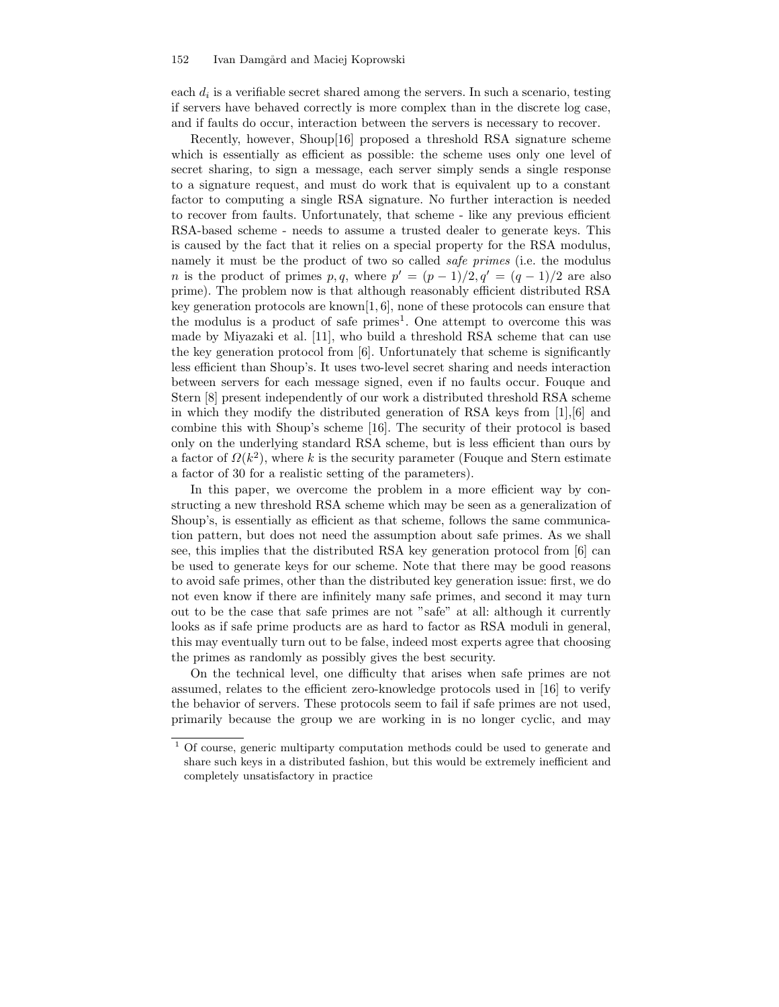each  $d_i$  is a verifiable secret shared among the servers. In such a scenario, testing if servers have behaved correctly is more complex than in the discrete log case, and if faults do occur, interaction between the servers is necessary to recover.

Recently, however, Shoup[16] proposed a threshold RSA signature scheme which is essentially as efficient as possible: the scheme uses only one level of secret sharing, to sign a message, each server simply sends a single response to a signature request, and must do work that is equivalent up to a constant factor to computing a single RSA signature. No further interaction is needed to recover from faults. Unfortunately, that scheme - like any previous efficient RSA-based scheme - needs to assume a trusted dealer to generate keys. This is caused by the fact that it relies on a special property for the RSA modulus, namely it must be the product of two so called safe primes (i.e. the modulus *n* is the product of primes  $p, q$ , where  $p' = (p - 1)/2, q' = (q - 1)/2$  are also prime). The problem now is that although reasonably efficient distributed RSA key generation protocols are known $[1, 6]$ , none of these protocols can ensure that the modulus is a product of safe primes<sup>1</sup>. One attempt to overcome this was made by Miyazaki et al. [11], who build a threshold RSA scheme that can use the key generation protocol from [6]. Unfortunately that scheme is significantly less efficient than Shoup's. It uses two-level secret sharing and needs interaction between servers for each message signed, even if no faults occur. Fouque and Stern [8] present independently of our work a distributed threshold RSA scheme in which they modify the distributed generation of RSA keys from [1],[6] and combine this with Shoup's scheme [16]. The security of their protocol is based only on the underlying standard RSA scheme, but is less efficient than ours by a factor of  $\Omega(k^2)$ , where k is the security parameter (Fouque and Stern estimate a factor of 30 for a realistic setting of the parameters).

In this paper, we overcome the problem in a more efficient way by constructing a new threshold RSA scheme which may be seen as a generalization of Shoup's, is essentially as efficient as that scheme, follows the same communication pattern, but does not need the assumption about safe primes. As we shall see, this implies that the distributed RSA key generation protocol from [6] can be used to generate keys for our scheme. Note that there may be good reasons to avoid safe primes, other than the distributed key generation issue: first, we do not even know if there are infinitely many safe primes, and second it may turn out to be the case that safe primes are not "safe" at all: although it currently looks as if safe prime products are as hard to factor as RSA moduli in general, this may eventually turn out to be false, indeed most experts agree that choosing the primes as randomly as possibly gives the best security.

On the technical level, one difficulty that arises when safe primes are not assumed, relates to the efficient zero-knowledge protocols used in [16] to verify the behavior of servers. These protocols seem to fail if safe primes are not used, primarily because the group we are working in is no longer cyclic, and may

<sup>1</sup> Of course, generic multiparty computation methods could be used to generate and share such keys in a distributed fashion, but this would be extremely inefficient and completely unsatisfactory in practice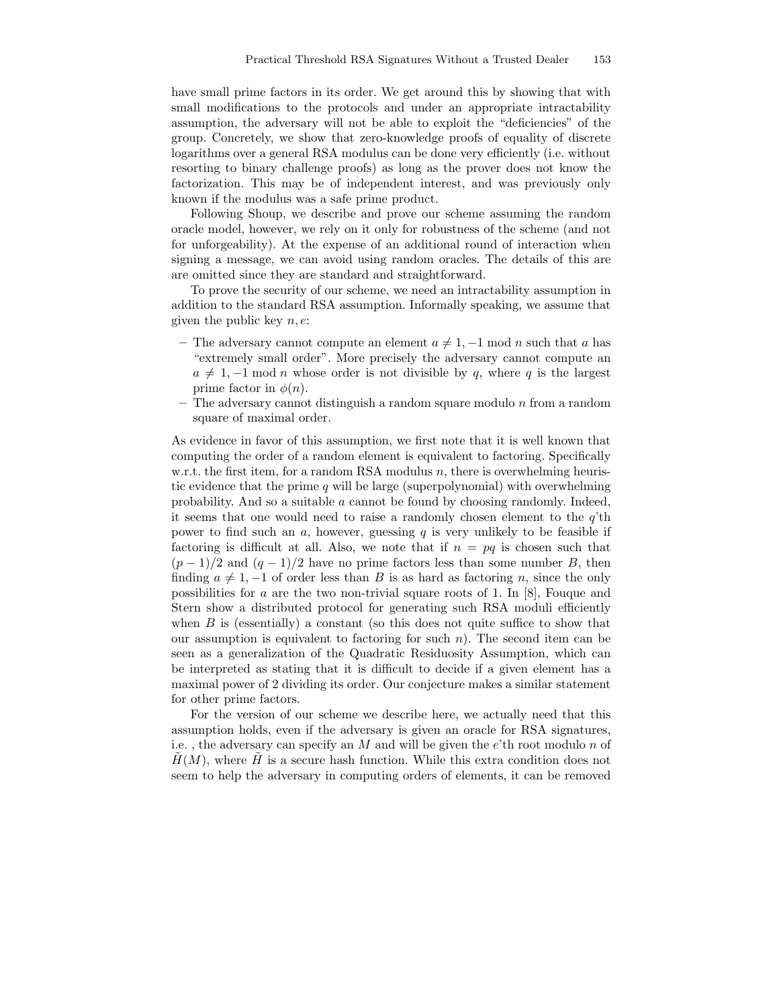have small prime factors in its order. We get around this by showing that with small modifications to the protocols and under an appropriate intractability assumption, the adversary will not be able to exploit the "deficiencies" of the group. Concretely, we show that zero-knowledge proofs of equality of discrete logarithms over a general RSA modulus can be done very efficiently (i.e. without resorting to binary challenge proofs) as long as the prover does not know the factorization. This may be of independent interest, and was previously only known if the modulus was a safe prime product.

Following Shoup, we describe and prove our scheme assuming the random oracle model, however, we rely on it only for robustness of the scheme (and not for unforgeability). At the expense of an additional round of interaction when signing a message, we can avoid using random oracles. The details of this are are omitted since they are standard and straightforward.

To prove the security of our scheme, we need an intractability assumption in addition to the standard RSA assumption. Informally speaking, we assume that given the public key  $n, e$ :

- The adversary cannot compute an element  $a \neq 1, -1 \mod n$  such that a has "extremely small order". More precisely the adversary cannot compute an  $a \neq 1, -1 \mod n$  whose order is not divisible by q, where q is the largest prime factor in  $\phi(n)$ .
- The adversary cannot distinguish a random square modulo n from a random square of maximal order.

As evidence in favor of this assumption, we first note that it is well known that computing the order of a random element is equivalent to factoring. Specifically w.r.t. the first item, for a random RSA modulus  $n$ , there is overwhelming heuristic evidence that the prime  $q$  will be large (superpolynomial) with overwhelming probability. And so a suitable a cannot be found by choosing randomly. Indeed, it seems that one would need to raise a randomly chosen element to the  $q'$ th power to find such an  $a$ , however, guessing  $q$  is very unlikely to be feasible if factoring is difficult at all. Also, we note that if  $n = pq$  is chosen such that  $(p-1)/2$  and  $(q-1)/2$  have no prime factors less than some number B, then finding  $a \neq 1, -1$  of order less than B is as hard as factoring n, since the only possibilities for a are the two non-trivial square roots of 1. In [8], Fouque and Stern show a distributed protocol for generating such RSA moduli efficiently when  $B$  is (essentially) a constant (so this does not quite suffice to show that our assumption is equivalent to factoring for such  $n$ ). The second item can be seen as a generalization of the Quadratic Residuosity Assumption, which can be interpreted as stating that it is difficult to decide if a given element has a maximal power of 2 dividing its order. Our conjecture makes a similar statement for other prime factors.

For the version of our scheme we describe here, we actually need that this assumption holds, even if the adversary is given an oracle for RSA signatures, i.e., the adversary can specify an M and will be given the e'th root modulo n of  $H(M)$ , where H is a secure hash function. While this extra condition does not seem to help the adversary in computing orders of elements, it can be removed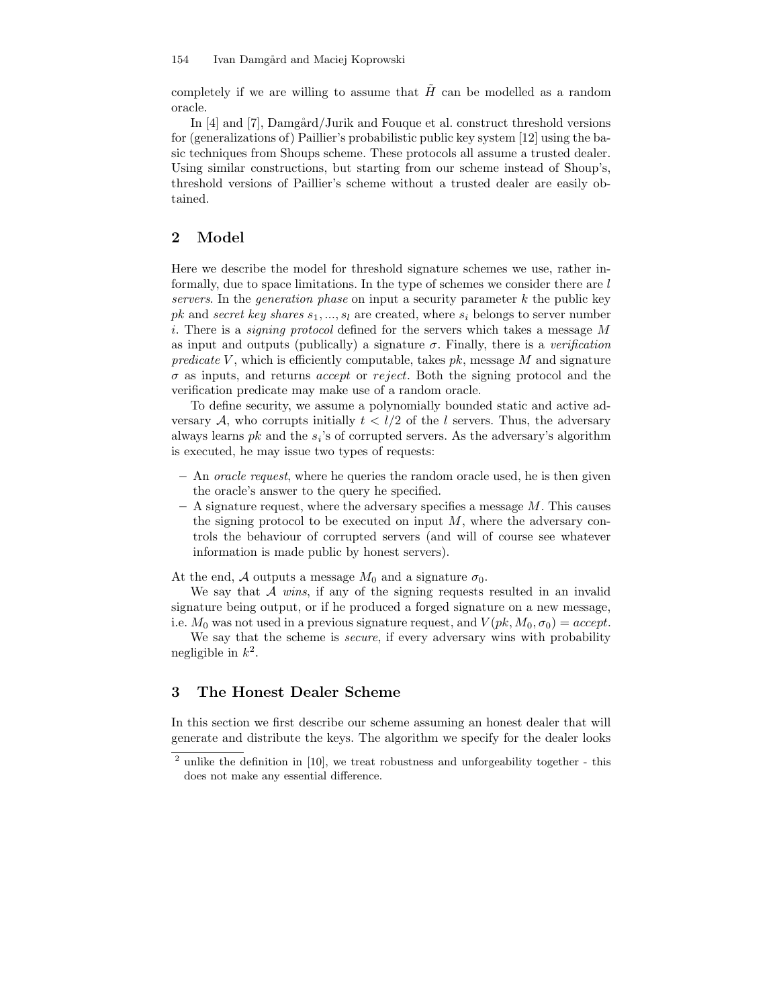completely if we are willing to assume that  $\tilde{H}$  can be modelled as a random oracle.

In  $[4]$  and  $[7]$ , Damgård/Jurik and Fouque et al. construct threshold versions for (generalizations of) Paillier's probabilistic public key system [12] using the basic techniques from Shoups scheme. These protocols all assume a trusted dealer. Using similar constructions, but starting from our scheme instead of Shoup's, threshold versions of Paillier's scheme without a trusted dealer are easily obtained.

## 2 Model

Here we describe the model for threshold signature schemes we use, rather informally, due to space limitations. In the type of schemes we consider there are l servers. In the *generation phase* on input a security parameter  $k$  the public key pk and secret key shares  $s_1, ..., s_l$  are created, where  $s_i$  belongs to server number i. There is a signing protocol defined for the servers which takes a message M as input and outputs (publically) a signature  $\sigma$ . Finally, there is a verification predicate V, which is efficiently computable, takes  $pk$ , message M and signature  $\sigma$  as inputs, and returns *accept* or *reject*. Both the signing protocol and the verification predicate may make use of a random oracle.

To define security, we assume a polynomially bounded static and active adversary A, who corrupts initially  $t < l/2$  of the l servers. Thus, the adversary always learns  $pk$  and the  $s_i$ 's of corrupted servers. As the adversary's algorithm is executed, he may issue two types of requests:

- $-$  An *oracle request*, where he queries the random oracle used, he is then given the oracle's answer to the query he specified.
- $-$  A signature request, where the adversary specifies a message  $M$ . This causes the signing protocol to be executed on input  $M$ , where the adversary controls the behaviour of corrupted servers (and will of course see whatever information is made public by honest servers).

At the end, A outputs a message  $M_0$  and a signature  $\sigma_0$ .

We say that  $A$  wins, if any of the signing requests resulted in an invalid signature being output, or if he produced a forged signature on a new message, i.e.  $M_0$  was not used in a previous signature request, and  $V(pk, M_0, \sigma_0) = accept.$ 

We say that the scheme is *secure*, if every adversary wins with probability negligible in  $k^2$ .

### 3 The Honest Dealer Scheme

In this section we first describe our scheme assuming an honest dealer that will generate and distribute the keys. The algorithm we specify for the dealer looks

 $2$  unlike the definition in [10], we treat robustness and unforgeability together - this does not make any essential difference.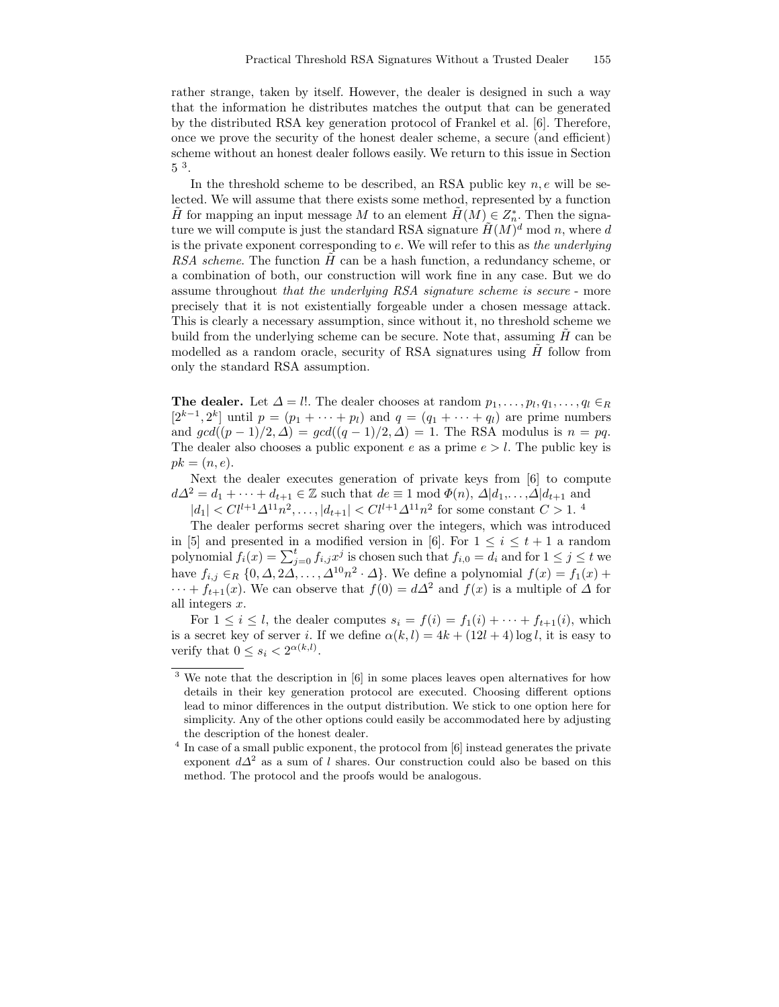rather strange, taken by itself. However, the dealer is designed in such a way that the information he distributes matches the output that can be generated by the distributed RSA key generation protocol of Frankel et al. [6]. Therefore, once we prove the security of the honest dealer scheme, a secure (and efficient) scheme without an honest dealer follows easily. We return to this issue in Section 5 3 .

In the threshold scheme to be described, an RSA public key  $n, e$  will be selected. We will assume that there exists some method, represented by a function  $\tilde{H}$  for mapping an input message M to an element  $\tilde{H}(M) \in Z_n^*$ . Then the signature we will compute is just the standard RSA signature  $\tilde{H}(M)^d$  mod n, where d is the private exponent corresponding to  $e$ . We will refer to this as the underlying RSA scheme. The function H can be a hash function, a redundancy scheme, or a combination of both, our construction will work fine in any case. But we do assume throughout that the underlying RSA signature scheme is secure - more precisely that it is not existentially forgeable under a chosen message attack. This is clearly a necessary assumption, since without it, no threshold scheme we build from the underlying scheme can be secure. Note that, assuming  $\hat{H}$  can be modelled as a random oracle, security of RSA signatures using  $\hat{H}$  follow from only the standard RSA assumption.

**The dealer.** Let  $\Delta = l!$ . The dealer chooses at random  $p_1, \ldots, p_l, q_1, \ldots, q_l \in_R$  $[2^{k-1}, 2^k]$  until  $p = (p_1 + \cdots + p_l)$  and  $q = (q_1 + \cdots + q_l)$  are prime numbers and  $gcd((p-1)/2, \Delta) = gcd((q-1)/2, \Delta) = 1$ . The RSA modulus is  $n = pq$ . The dealer also chooses a public exponent e as a prime  $e > l$ . The public key is  $pk = (n, e).$ 

Next the dealer executes generation of private keys from [6] to compute  $d\Delta^2 = d_1 + \cdots + d_{t+1} \in \mathbb{Z}$  such that  $de \equiv 1 \mod \Phi(n), \Delta | d_1, \ldots, \Delta | d_{t+1}$  and

 $|d_1| < Cl^{l+1}\Delta^{11}n^2, \ldots, |d_{t+1}| < Cl^{l+1}\Delta^{11}n^2$  for some constant  $C > 1$ . <sup>4</sup>

The dealer performs secret sharing over the integers, which was introduced in [5] and presented in a modified version in [6]. For  $1 \leq i \leq t+1$  a random polynomial  $f_i(x) = \sum_{j=0}^t f_{i,j} x^j$  is chosen such that  $f_{i,0} = d_i$  and for  $1 \leq j \leq t$  we have  $f_{i,j} \in_R \{0, \Delta, 2\Delta, \ldots, \Delta^{10} n^2 \cdot \Delta\}$ . We define a polynomial  $f(x) = f_1(x) +$  $\cdots + f_{t+1}(x)$ . We can observe that  $f(0) = d\Delta^2$  and  $f(x)$  is a multiple of  $\Delta$  for all integers x.

For  $1 \leq i \leq l$ , the dealer computes  $s_i = f(i) = f_1(i) + \cdots + f_{t+1}(i)$ , which is a secret key of server i. If we define  $\alpha(k, l) = 4k + (12l + 4) \log l$ , it is easy to verify that  $0 \leq s_i < 2^{\alpha(k,l)}$ .

<sup>3</sup> We note that the description in [6] in some places leaves open alternatives for how details in their key generation protocol are executed. Choosing different options lead to minor differences in the output distribution. We stick to one option here for simplicity. Any of the other options could easily be accommodated here by adjusting the description of the honest dealer.

<sup>&</sup>lt;sup>4</sup> In case of a small public exponent, the protocol from [6] instead generates the private exponent  $d\Delta^2$  as a sum of l shares. Our construction could also be based on this method. The protocol and the proofs would be analogous.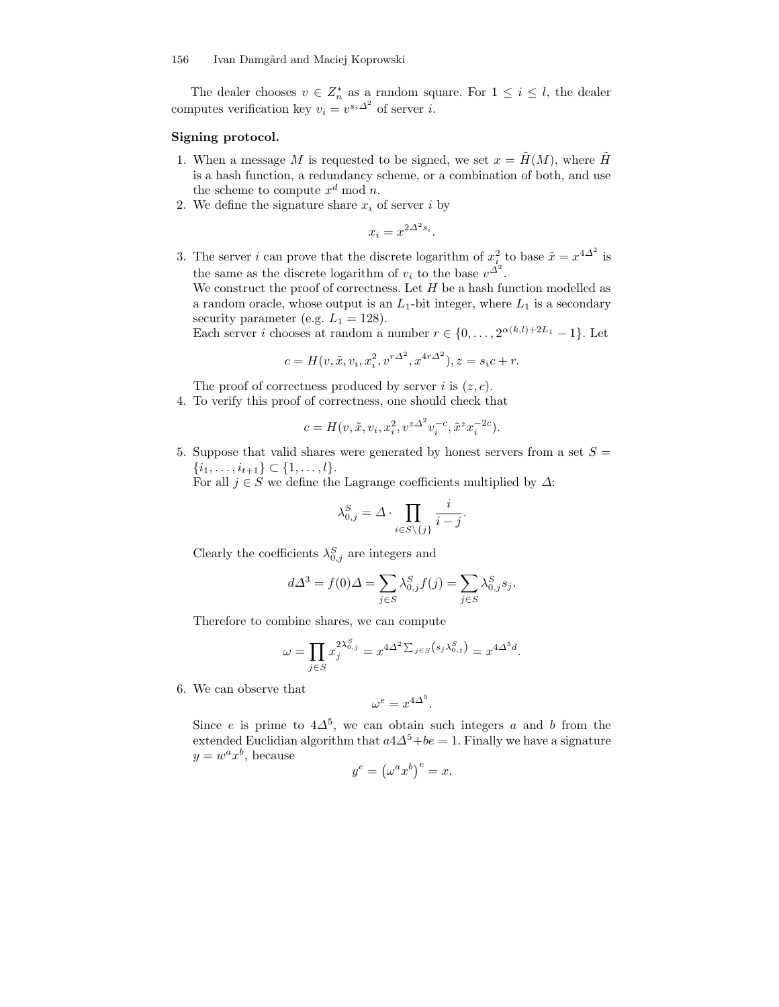The dealer chooses  $v \in Z_n^*$  as a random square. For  $1 \leq i \leq l$ , the dealer computes verification key  $v_i = v^{s_i \Delta^2}$  of server *i*.

#### Signing protocol.

- 1. When a message M is requested to be signed, we set  $x = \tilde{H}(M)$ , where  $\tilde{H}$ is a hash function, a redundancy scheme, or a combination of both, and use the scheme to compute  $x^d \mod n$ .
- 2. We define the signature share  $x_i$  of server i by

 $x_i = x^{2\Delta^2 s_i}.$ 

3. The server *i* can prove that the discrete logarithm of  $x_i^2$  to base  $\tilde{x} = x^{4\Delta^2}$  is the same as the discrete logarithm of  $v_i$  to the base  $v^{\Delta^2}$ .

We construct the proof of correctness. Let  $H$  be a hash function modelled as a random oracle, whose output is an  $L_1$ -bit integer, where  $L_1$  is a secondary security parameter (e.g.  $L_1 = 128$ ).

Each server *i* chooses at random a number  $r \in \{0, \ldots, 2^{\alpha(k,l)+2L_1} - 1\}$ . Let

$$
c = H(v, \tilde{x}, v_i, x_i^2, v^{r\Delta^2}, x^{4r\Delta^2}), z = s_i c + r.
$$

The proof of correctness produced by server i is  $(z, c)$ .

4. To verify this proof of correctness, one should check that

$$
c = H(v, \tilde{x}, v_i, x_i^2, v^{z\Delta^2} v_i^{-c}, \tilde{x}^z x_i^{-2c}).
$$

5. Suppose that valid shares were generated by honest servers from a set  $S =$  $\{i_1, \ldots, i_{t+1}\} \subset \{1, \ldots, l\}.$ 

For all  $j \in S$  we define the Lagrange coefficients multiplied by  $\Delta$ :

$$
\lambda_{0,j}^S = \varDelta \cdot \prod_{i \in S \setminus \{j\}} \frac{i}{i-j}.
$$

Clearly the coefficients  $\lambda_{0,j}^S$  are integers and

$$
d\varDelta^3 = f(0)\varDelta = \sum_{j \in S} \lambda_{0,j}^S f(j) = \sum_{j \in S} \lambda_{0,j}^S s_j.
$$

Therefore to combine shares, we can compute

$$
\omega = \prod_{j \in S} x_j^{2\lambda_{0,j}^S} = x^{4\Delta^2 \sum_{j \in S} (s_j \lambda_{0,j}^S)} = x^{4\Delta^5 d}.
$$

6. We can observe that

$$
\omega^e=x^{4\varDelta^5}.
$$

Since e is prime to  $4\Delta^5$ , we can obtain such integers a and b from the extended Euclidian algorithm that  $a4\Delta^5+b\epsilon=1$ . Finally we have a signature  $y = w^a x^b$ , because

$$
y^e = \left(\omega^a x^b\right)^e = x.
$$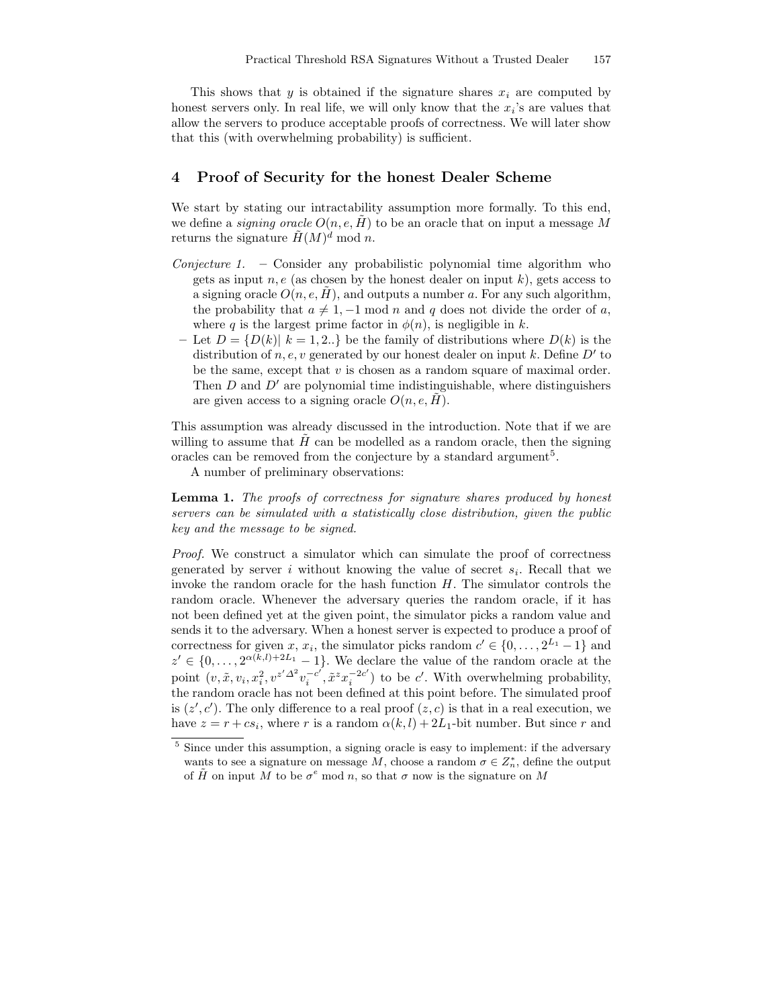This shows that y is obtained if the signature shares  $x_i$  are computed by honest servers only. In real life, we will only know that the  $x_i$ 's are values that allow the servers to produce acceptable proofs of correctness. We will later show that this (with overwhelming probability) is sufficient.

### 4 Proof of Security for the honest Dealer Scheme

We start by stating our intractability assumption more formally. To this end, we define a *signing oracle*  $O(n, e, \tilde{H})$  to be an oracle that on input a message M returns the signature  $\tilde{H}(M)^d \mod n$ .

- Conjecture 1. Consider any probabilistic polynomial time algorithm who gets as input  $n, e$  (as chosen by the honest dealer on input k), gets access to a signing oracle  $O(n, e, H)$ , and outputs a number a. For any such algorithm, the probability that  $a \neq 1, -1 \mod n$  and q does not divide the order of a, where q is the largest prime factor in  $\phi(n)$ , is negligible in k.
- Let  $D = \{D(k) | k = 1, 2..\}$  be the family of distributions where  $D(k)$  is the distribution of  $n, e, v$  generated by our honest dealer on input k. Define  $D'$  to be the same, except that  $v$  is chosen as a random square of maximal order. Then  $D$  and  $D'$  are polynomial time indistinguishable, where distinguishers are given access to a signing oracle  $O(n, e, H)$ .

This assumption was already discussed in the introduction. Note that if we are willing to assume that  $H$  can be modelled as a random oracle, then the signing oracles can be removed from the conjecture by a standard argument<sup>5</sup>.

A number of preliminary observations:

Lemma 1. The proofs of correctness for signature shares produced by honest servers can be simulated with a statistically close distribution, given the public key and the message to be signed.

Proof. We construct a simulator which can simulate the proof of correctness generated by server i without knowing the value of secret  $s_i$ . Recall that we invoke the random oracle for the hash function  $H$ . The simulator controls the random oracle. Whenever the adversary queries the random oracle, if it has not been defined yet at the given point, the simulator picks a random value and sends it to the adversary. When a honest server is expected to produce a proof of correctness for given x,  $x_i$ , the simulator picks random  $c' \in \{0, \ldots, 2^{L_1} - 1\}$  and  $z' \in \{0, \ldots, 2^{\alpha(k,l)+2L_1}-1\}$ . We declare the value of the random oracle at the point  $(v, \tilde{x}, v_i, x_i^2, v^{z^{\prime} \Delta^2} v_i^{-c^{\prime}})$  $\tilde{x}^{-c'}, \tilde{x}^z x_i^{-2c'}$  $i^{-(2c')}$  to be c'. With overwhelming probability, the random oracle has not been defined at this point before. The simulated proof is  $(z', c')$ . The only difference to a real proof  $(z, c)$  is that in a real execution, we have  $z = r + cs_i$ , where r is a random  $\alpha(k, l) + 2L_1$ -bit number. But since r and

<sup>5</sup> Since under this assumption, a signing oracle is easy to implement: if the adversary wants to see a signature on message M, choose a random  $\sigma \in Z_n^*$ , define the output of  $\tilde{H}$  on input M to be  $\sigma^e$  mod n, so that  $\sigma$  now is the signature on M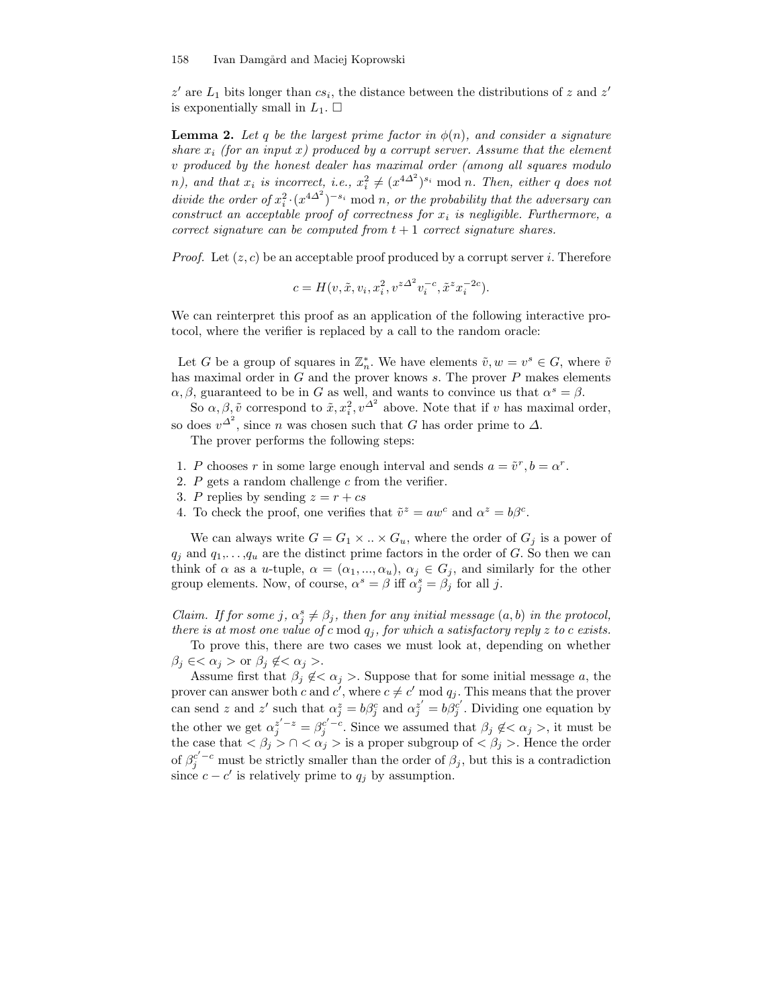$z'$  are  $L_1$  bits longer than  $cs_i$ , the distance between the distributions of z and  $z'$ is exponentially small in  $L_1$ .  $\Box$ 

**Lemma 2.** Let q be the largest prime factor in  $\phi(n)$ , and consider a signature share  $x_i$  (for an input x) produced by a corrupt server. Assume that the element v produced by the honest dealer has maximal order (among all squares modulo n), and that  $x_i$  is incorrect, i.e.,  $x_i^2 \neq (x^{4\Delta^2})^{s_i} \text{ mod } n$ . Then, either q does not divide the order of  $x_i^2 \cdot (x^{4\Delta^2})^{-s_i}$  mod n, or the probability that the adversary can construct an acceptable proof of correctness for  $x_i$  is negligible. Furthermore, a correct signature can be computed from  $t + 1$  correct signature shares.

*Proof.* Let  $(z, c)$  be an acceptable proof produced by a corrupt server i. Therefore

$$
c = H(v, \tilde{x}, v_i, x_i^2, v^{z\Delta^2} v_i^{-c}, \tilde{x}^z x_i^{-2c}).
$$

We can reinterpret this proof as an application of the following interactive protocol, where the verifier is replaced by a call to the random oracle:

Let G be a group of squares in  $\mathbb{Z}_n^*$ . We have elements  $\tilde{v}, w = v^s \in G$ , where  $\tilde{v}$ has maximal order in  $G$  and the prover knows  $s$ . The prover  $P$  makes elements  $\alpha, \beta$ , guaranteed to be in G as well, and wants to convince us that  $\alpha^s = \beta$ .

So  $\alpha, \beta, \tilde{v}$  correspond to  $\tilde{x}, x_i^2, v^{\Delta^2}$  above. Note that if v has maximal order, so does  $v^{\Delta^2}$ , since *n* was chosen such that G has order prime to  $\Delta$ .

The prover performs the following steps:

- 1. P chooses r in some large enough interval and sends  $a = \tilde{v}^r, b = \alpha^r$ .
- 2.  $P$  gets a random challenge  $c$  from the verifier.
- 3. P replies by sending  $z = r + cs$
- 4. To check the proof, one verifies that  $\tilde{v}^z = aw^c$  and  $\alpha^z = b\beta^c$ .

We can always write  $G = G_1 \times ... \times G_u$ , where the order of  $G_i$  is a power of  $q_i$  and  $q_1,\ldots,q_u$  are the distinct prime factors in the order of G. So then we can think of  $\alpha$  as a u-tuple,  $\alpha = (\alpha_1, ..., \alpha_u), \alpha_j \in G_j$ , and similarly for the other group elements. Now, of course,  $\alpha^s = \beta$  iff  $\alpha_j^s = \beta_j$  for all j.

Claim. If for some j,  $\alpha_j^s \neq \beta_j$ , then for any initial message  $(a, b)$  in the protocol, there is at most one value of c mod  $q_i$ , for which a satisfactory reply z to c exists.

To prove this, there are two cases we must look at, depending on whether  $\beta_i \in <\alpha_j>$  or  $\beta_i \notin <\alpha_j>$ .

Assume first that  $\beta_j \notin <\alpha_j>$ . Suppose that for some initial message a, the prover can answer both c and c', where  $c \neq c' \mod q_j$ . This means that the prover can send z and z' such that  $\alpha_j^z = b\beta_j^c$  and  $\alpha_j^{z'} = b\beta_j^{c'}$ . Dividing one equation by the other we get  $\alpha_j^{z'-z} = \beta_j^{c'-c}$ . Since we assumed that  $\beta_j \notin <\alpha_j>$ , it must be the case that  $\langle \beta_j \rangle \cap \langle \alpha_j \rangle$  is a proper subgroup of  $\langle \beta_j \rangle$ . Hence the order of  $\beta_j^{c'-c}$  must be strictly smaller than the order of  $\beta_j$ , but this is a contradiction since  $c - c'$  is relatively prime to  $q_j$  by assumption.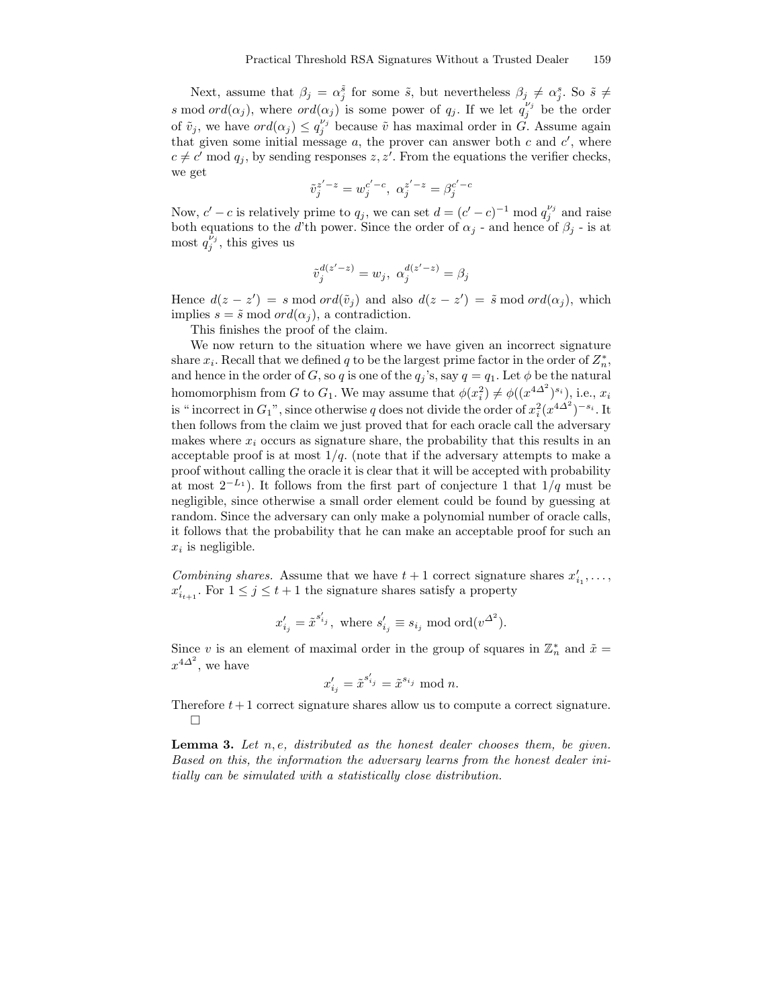Next, assume that  $\beta_j = \alpha_j^{\tilde{s}}$  for some  $\tilde{s}$ , but nevertheless  $\beta_j \neq \alpha_j^s$ . So  $\tilde{s} \neq$ s mod  $ord(\alpha_j)$ , where  $ord(\alpha_j)$  is some power of  $q_j$ . If we let  $q_j^{\nu_j}$  be the order of  $\tilde{v}_j$ , we have  $ord(\alpha_j) \le q_j^{\nu_j}$  because  $\tilde{v}$  has maximal order in  $G$ . Assume again that given some initial message  $a$ , the prover can answer both  $c$  and  $c'$ , where  $c \neq c' \mod q_j$ , by sending responses  $z, z'$ . From the equations the verifier checks, we get

$$
\tilde{v}_j^{z'-z} = w_j^{c'-c}, \ \alpha_j^{z'-z} = \beta_j^{c'-c}
$$

Now,  $c' - c$  is relatively prime to  $q_j$ , we can set  $d = (c' - c)^{-1} \mod q_j^{\nu_j}$  and raise both equations to the d'th power. Since the order of  $\alpha_j$  - and hence of  $\beta_j$  - is at most  $q_j^{\tilde{\nu}_j}$ , this gives us

$$
\tilde{v}^{d(z'-z)}_j=w_j, \ \alpha^{d(z'-z)}_j=\beta_j
$$

Hence  $d(z - z') = s \mod ord(\tilde{v}_j)$  and also  $d(z - z') = \tilde{s} \mod ord(\alpha_j)$ , which implies  $s = \tilde{s} \mod ord(\alpha_i)$ , a contradiction.

This finishes the proof of the claim.

We now return to the situation where we have given an incorrect signature share  $x_i$ . Recall that we defined q to be the largest prime factor in the order of  $Z_n^*$ , and hence in the order of G, so q is one of the  $q_j$ 's, say  $q = q_1$ . Let  $\phi$  be the natural homomorphism from G to  $G_1$ . We may assume that  $\phi(x_i^2) \neq \phi((x^{4\Delta^2})^{s_i})$ , i.e.,  $x_i$ is "incorrect in  $G_1$ ", since otherwise q does not divide the order of  $x_i^2(x^{4\Delta^2})^{-s_i}$ . It then follows from the claim we just proved that for each oracle call the adversary makes where  $x_i$  occurs as signature share, the probability that this results in an acceptable proof is at most  $1/q$ . (note that if the adversary attempts to make a proof without calling the oracle it is clear that it will be accepted with probability at most  $2^{-L_1}$ ). It follows from the first part of conjecture 1 that  $1/q$  must be negligible, since otherwise a small order element could be found by guessing at random. Since the adversary can only make a polynomial number of oracle calls, it follows that the probability that he can make an acceptable proof for such an  $x_i$  is negligible.

Combining shares. Assume that we have  $t + 1$  correct signature shares  $x'_{i_1}, \ldots$ ,  $x'_{i_{t+1}}$ . For  $1 \leq j \leq t+1$  the signature shares satisfy a property

$$
x'_{i_j} = \tilde{x}^{s'_{i_j}}, \text{ where } s'_{i_j} \equiv s_{i_j} \text{ mod } \text{ord}(v^{\Delta^2}).
$$

Since v is an element of maximal order in the group of squares in  $\mathbb{Z}_n^*$  and  $\tilde{x} =$  $x^{4\Delta^2}$ , we have

$$
x'_{i_j} = \tilde{x}^{s'_{i_j}} = \tilde{x}^{s_{i_j}} \bmod n.
$$

Therefore  $t+1$  correct signature shares allow us to compute a correct signature. ¤

**Lemma 3.** Let  $n, e$ , distributed as the honest dealer chooses them, be given. Based on this, the information the adversary learns from the honest dealer initially can be simulated with a statistically close distribution.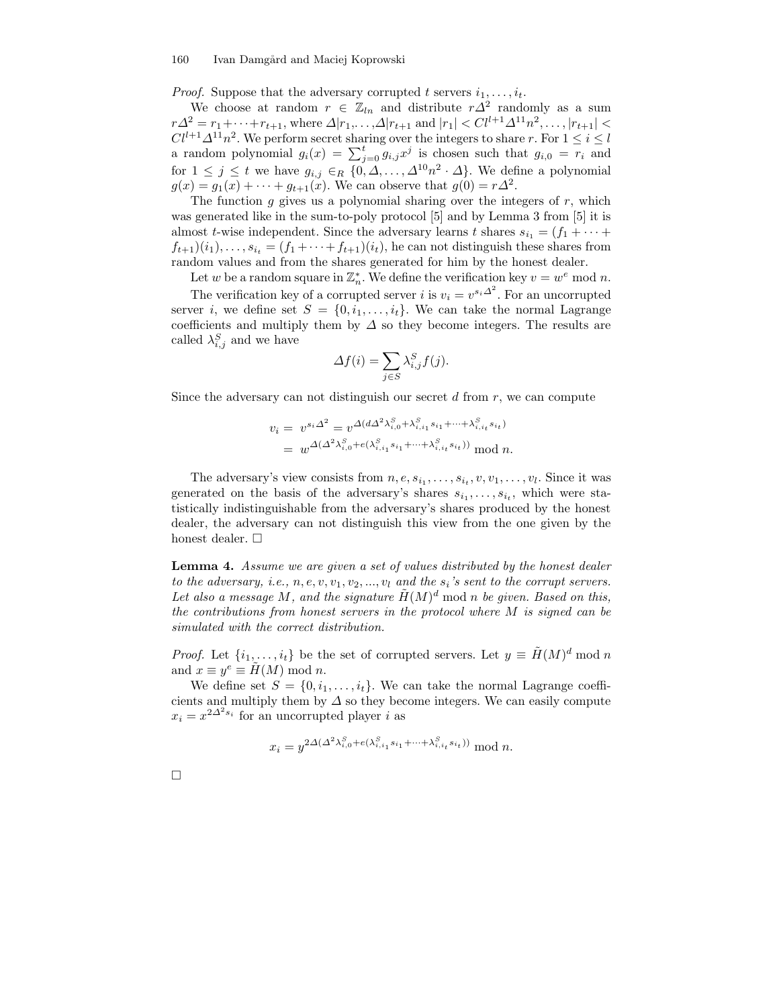#### 160 Ivan Damgård and Maciej Koprowski

*Proof.* Suppose that the adversary corrupted t servers  $i_1, \ldots, i_t$ .

We choose at random  $r \in \mathbb{Z}_{ln}$  and distribute  $r\Delta^2$  randomly as a sum  $r\Delta^2 = r_1 + \cdots + r_{t+1}$ , where  $\Delta |r_1, \ldots, \Delta | r_{t+1}$  and  $|r_1| < Cl^{l+1}\Delta^{11}n^2, \ldots, |r_{t+1}| <$  $Cl^{l+1}\Delta^{11}n^2$ . We perform secret sharing over the integers to share r. For  $1 \leq i \leq l$ a random polynomial  $g_i(x) = \sum_{j=0}^t g_{i,j} x^j$  is chosen such that  $g_{i,0} = r_i$  and for  $1 \leq j \leq t$  we have  $g_{i,j} \in_R \{0, \Delta, \ldots, \Delta^{10} n^2 \cdot \Delta\}$ . We define a polynomial  $g(x) = g_1(x) + \cdots + g_{t+1}(x)$ . We can observe that  $g(0) = r\Delta^2$ .

The function  $g$  gives us a polynomial sharing over the integers of  $r$ , which was generated like in the sum-to-poly protocol [5] and by Lemma 3 from [5] it is almost t-wise independent. Since the adversary learns t shares  $s_{i_1} = (f_1 + \cdots + f_n)$  $(f_{t+1})(i_1),\ldots, s_{i_t}=(f_1+\cdots+f_{t+1})(i_t)$ , he can not distinguish these shares from random values and from the shares generated for him by the honest dealer.

Let w be a random square in  $\mathbb{Z}_n^*$ . We define the verification key  $v = w^e \mod n$ .

The verification key of a corrupted server *i* is  $v_i = v^{s_i \Delta^2}$ . For an uncorrupted server *i*, we define set  $S = \{0, i_1, \ldots, i_t\}$ . We can take the normal Lagrange coefficients and multiply them by  $\Delta$  so they become integers. The results are called  $\lambda_{i,j}^S$  and we have

$$
\Delta f(i) = \sum_{j \in S} \lambda_{i,j}^S f(j).
$$

Since the adversary can not distinguish our secret  $d$  from  $r$ , we can compute

$$
v_i = v^{s_i \Delta^2} = v^{\Delta(d\Delta^2 \lambda_{i,0}^S + \lambda_{i,i_1}^S s_{i_1} + \dots + \lambda_{i,i_t}^S s_{i_t})}
$$
  
= 
$$
w^{\Delta(\Delta^2 \lambda_{i,0}^S + e(\lambda_{i,i_1}^S s_{i_1} + \dots + \lambda_{i,i_t}^S s_{i_t}))} \mod n.
$$

The adversary's view consists from  $n, e, s_{i_1}, \ldots, s_{i_t}, v, v_1, \ldots, v_l$ . Since it was generated on the basis of the adversary's shares  $s_{i_1}, \ldots, s_{i_t}$ , which were statistically indistinguishable from the adversary's shares produced by the honest dealer, the adversary can not distinguish this view from the one given by the honest dealer.  $\Box$ 

Lemma 4. Assume we are given a set of values distributed by the honest dealer to the adversary, i.e.,  $n, e, v, v_1, v_2, ..., v_l$  and the  $s_i$ 's sent to the corrupt servers. Let also a message M, and the signature  $\tilde{H}(M)^d \mod n$  be given. Based on this, the contributions from honest servers in the protocol where M is signed can be simulated with the correct distribution.

*Proof.* Let  $\{i_1, \ldots, i_t\}$  be the set of corrupted servers. Let  $y \equiv \tilde{H}(M)^d \mod n$ and  $x \equiv y^e \equiv \tilde{H}(M) \text{ mod } n$ .

We define set  $S = \{0, i_1, \ldots, i_t\}$ . We can take the normal Lagrange coefficients and multiply them by  $\Delta$  so they become integers. We can easily compute  $x_i = x^{2\Delta^2 s_i}$  for an uncorrupted player *i* as

$$
x_i = y^{2\Delta(\Delta^2 \lambda_{i,0}^S + e(\lambda_{i,i_1}^S s_{i_1} + \dots + \lambda_{i,i_t}^S s_{i_t}))} \mod n.
$$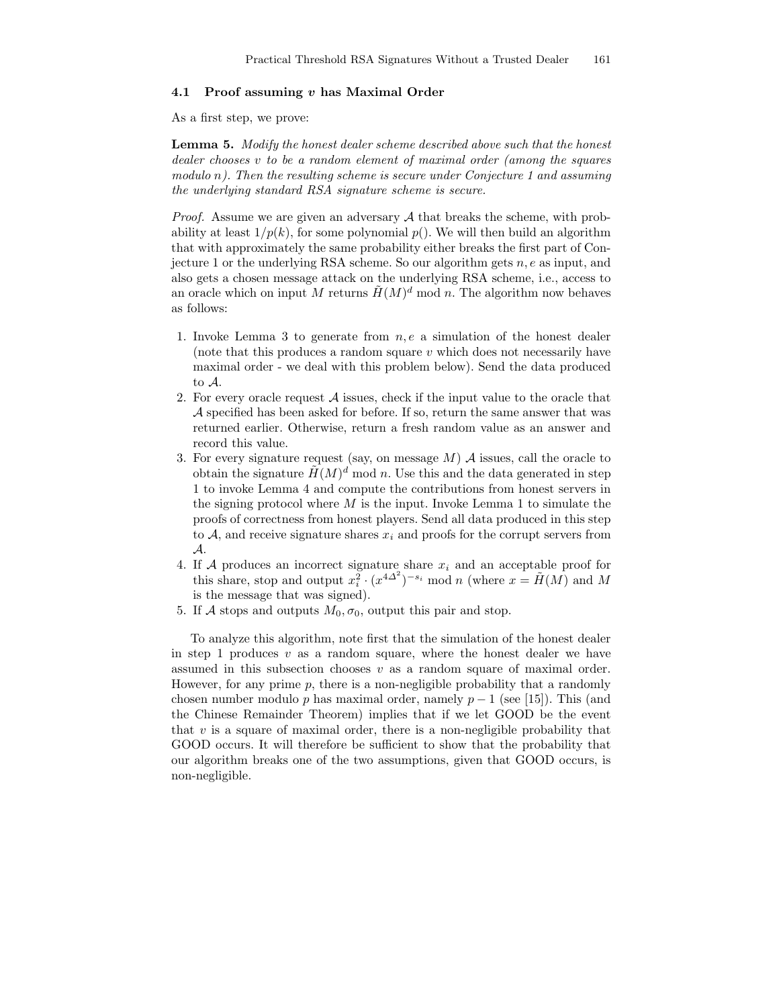#### 4.1 Proof assuming v has Maximal Order

As a first step, we prove:

Lemma 5. Modify the honest dealer scheme described above such that the honest dealer chooses v to be a random element of maximal order (among the squares modulo n). Then the resulting scheme is secure under Conjecture 1 and assuming the underlying standard RSA signature scheme is secure.

*Proof.* Assume we are given an adversary  $A$  that breaks the scheme, with probability at least  $1/p(k)$ , for some polynomial  $p(k)$ . We will then build an algorithm that with approximately the same probability either breaks the first part of Conjecture 1 or the underlying RSA scheme. So our algorithm gets  $n, e$  as input, and also gets a chosen message attack on the underlying RSA scheme, i.e., access to an oracle which on input M returns  $\tilde{H}(M)^d$  mod n. The algorithm now behaves as follows:

- 1. Invoke Lemma 3 to generate from  $n, e$  a simulation of the honest dealer (note that this produces a random square  $v$  which does not necessarily have maximal order - we deal with this problem below). Send the data produced to A.
- 2. For every oracle request  $A$  issues, check if the input value to the oracle that A specified has been asked for before. If so, return the same answer that was returned earlier. Otherwise, return a fresh random value as an answer and record this value.
- 3. For every signature request (say, on message  $M$ )  $A$  issues, call the oracle to obtain the signature  $\tilde{H}(M)^d$  mod n. Use this and the data generated in step 1 to invoke Lemma 4 and compute the contributions from honest servers in the signing protocol where  $M$  is the input. Invoke Lemma 1 to simulate the proofs of correctness from honest players. Send all data produced in this step to  $A$ , and receive signature shares  $x_i$  and proofs for the corrupt servers from A.
- 4. If  $A$  produces an incorrect signature share  $x_i$  and an acceptable proof for this share, stop and output  $x_i^2 \cdot (x^{4\Delta^2})^{-s_i} \mod n$  (where  $x = \tilde{H}(M)$  and M is the message that was signed).
- 5. If A stops and outputs  $M_0$ ,  $\sigma_0$ , output this pair and stop.

To analyze this algorithm, note first that the simulation of the honest dealer in step 1 produces  $v$  as a random square, where the honest dealer we have assumed in this subsection chooses  $v$  as a random square of maximal order. However, for any prime  $p$ , there is a non-negligible probability that a randomly chosen number modulo p has maximal order, namely  $p-1$  (see [15]). This (and the Chinese Remainder Theorem) implies that if we let GOOD be the event that  $v$  is a square of maximal order, there is a non-negligible probability that GOOD occurs. It will therefore be sufficient to show that the probability that our algorithm breaks one of the two assumptions, given that GOOD occurs, is non-negligible.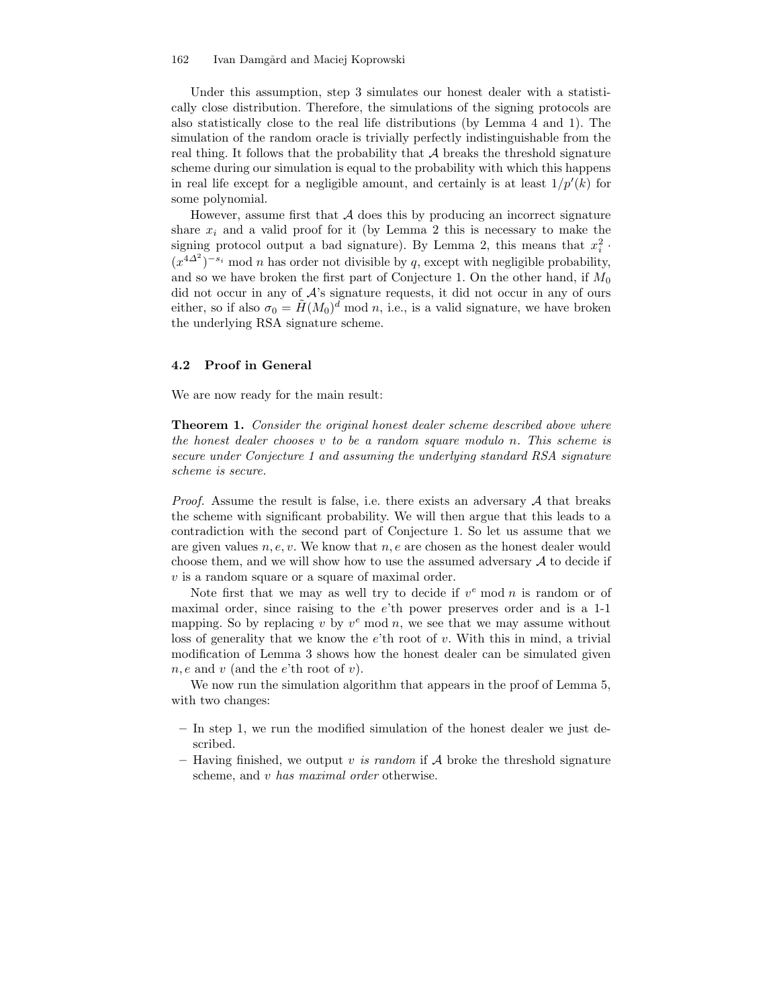#### 162 Ivan Damgård and Maciej Koprowski

Under this assumption, step 3 simulates our honest dealer with a statistically close distribution. Therefore, the simulations of the signing protocols are also statistically close to the real life distributions (by Lemma 4 and 1). The simulation of the random oracle is trivially perfectly indistinguishable from the real thing. It follows that the probability that  $A$  breaks the threshold signature scheme during our simulation is equal to the probability with which this happens in real life except for a negligible amount, and certainly is at least  $1/p'(k)$  for some polynomial.

However, assume first that  $A$  does this by producing an incorrect signature share  $x_i$  and a valid proof for it (by Lemma 2 this is necessary to make the signing protocol output a bad signature). By Lemma 2, this means that  $x_i^2$ .  $(x^{4\Delta^2})^{-s_i}$  mod *n* has order not divisible by q, except with negligible probability, and so we have broken the first part of Conjecture 1. On the other hand, if  $M_0$ did not occur in any of  $A$ 's signature requests, it did not occur in any of ours either, so if also  $\sigma_0 = \tilde{H}(M_0)^d \mod n$ , i.e., is a valid signature, we have broken the underlying RSA signature scheme.

### 4.2 Proof in General

We are now ready for the main result:

Theorem 1. Consider the original honest dealer scheme described above where the honest dealer chooses  $v$  to be a random square modulo n. This scheme is secure under Conjecture 1 and assuming the underlying standard RSA signature scheme is secure.

*Proof.* Assume the result is false, i.e. there exists an adversary  $A$  that breaks the scheme with significant probability. We will then argue that this leads to a contradiction with the second part of Conjecture 1. So let us assume that we are given values  $n, e, v$ . We know that  $n, e$  are chosen as the honest dealer would choose them, and we will show how to use the assumed adversary  $A$  to decide if v is a random square or a square of maximal order.

Note first that we may as well try to decide if  $v^e \mod n$  is random or of maximal order, since raising to the e'th power preserves order and is a 1-1 mapping. So by replacing v by  $v^e$  mod n, we see that we may assume without loss of generality that we know the  $e<sup>i</sup>$ th root of v. With this in mind, a trivial modification of Lemma 3 shows how the honest dealer can be simulated given  $n, e$  and v (and the e'th root of v).

We now run the simulation algorithm that appears in the proof of Lemma 5, with two changes:

- In step 1, we run the modified simulation of the honest dealer we just described.
- Having finished, we output v is random if  $A$  broke the threshold signature scheme, and v has maximal order otherwise.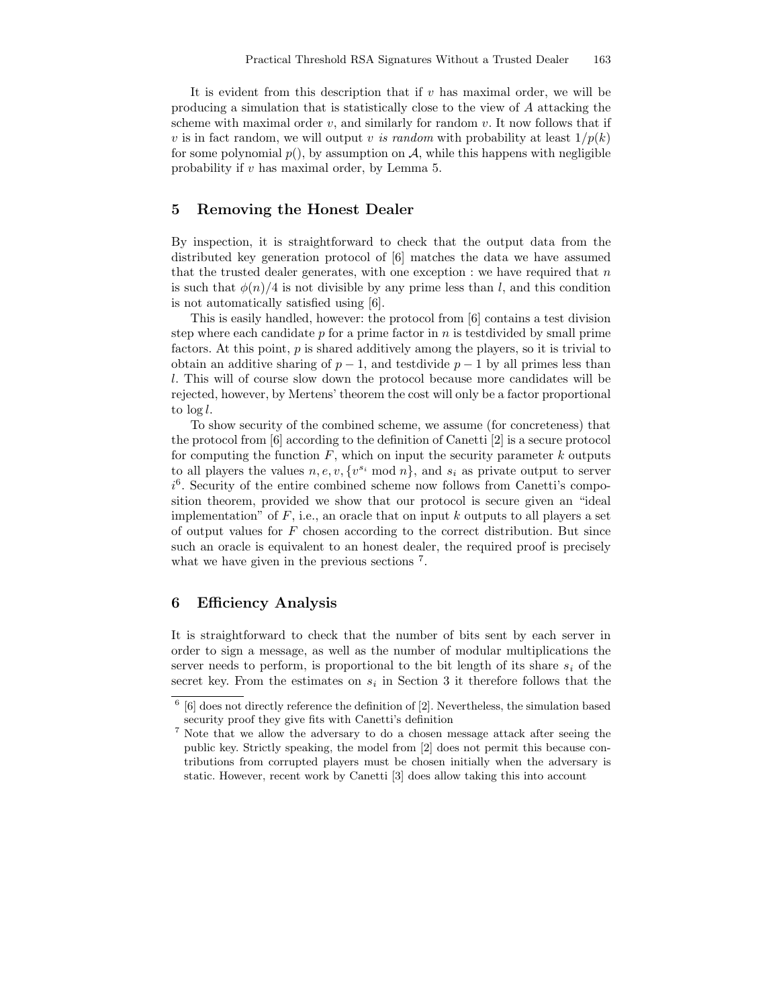It is evident from this description that if  $v$  has maximal order, we will be producing a simulation that is statistically close to the view of A attacking the scheme with maximal order v, and similarly for random v. It now follows that if v is in fact random, we will output v is random with probability at least  $1/p(k)$ for some polynomial  $p()$ , by assumption on A, while this happens with negligible probability if v has maximal order, by Lemma 5.

### 5 Removing the Honest Dealer

By inspection, it is straightforward to check that the output data from the distributed key generation protocol of [6] matches the data we have assumed that the trusted dealer generates, with one exception : we have required that  $n$ is such that  $\phi(n)/4$  is not divisible by any prime less than l, and this condition is not automatically satisfied using [6].

This is easily handled, however: the protocol from [6] contains a test division step where each candidate  $p$  for a prime factor in  $n$  is testdivided by small prime factors. At this point,  $p$  is shared additively among the players, so it is trivial to obtain an additive sharing of  $p-1$ , and testdivide  $p-1$  by all primes less than l. This will of course slow down the protocol because more candidates will be rejected, however, by Mertens' theorem the cost will only be a factor proportional to  $\log l$ .

To show security of the combined scheme, we assume (for concreteness) that the protocol from [6] according to the definition of Canetti [2] is a secure protocol for computing the function  $F$ , which on input the security parameter  $k$  outputs to all players the values  $n, e, v, \{v^{s_i} \mod n\}$ , and  $s_i$  as private output to server  $i<sup>6</sup>$ . Security of the entire combined scheme now follows from Canetti's composition theorem, provided we show that our protocol is secure given an "ideal implementation" of  $F$ , i.e., an oracle that on input k outputs to all players a set of output values for  $F$  chosen according to the correct distribution. But since such an oracle is equivalent to an honest dealer, the required proof is precisely what we have given in the previous sections<sup>7</sup>.

# 6 Efficiency Analysis

It is straightforward to check that the number of bits sent by each server in order to sign a message, as well as the number of modular multiplications the server needs to perform, is proportional to the bit length of its share  $s_i$  of the secret key. From the estimates on  $s_i$  in Section 3 it therefore follows that the

 $6$  [6] does not directly reference the definition of [2]. Nevertheless, the simulation based security proof they give fits with Canetti's definition

<sup>7</sup> Note that we allow the adversary to do a chosen message attack after seeing the public key. Strictly speaking, the model from [2] does not permit this because contributions from corrupted players must be chosen initially when the adversary is static. However, recent work by Canetti [3] does allow taking this into account